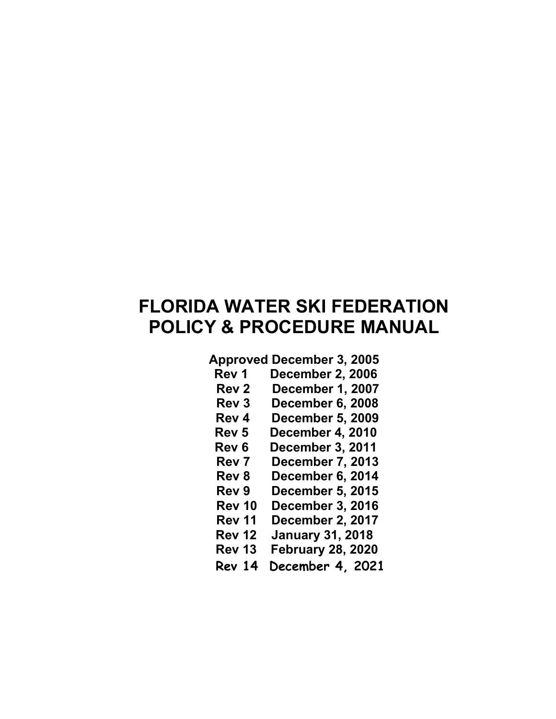# FLORIDA WATER SKI FEDERATION POLICY & PROCEDURE MANUAL

## Approved December 3, 2005

- Rev 1 December 2, 2006
- Rev 2 December 1, 2007
- Rev 3 December 6, 2008
- Rev 4 December 5, 2009
- Rev 5 December 4, 2010
- Rev 6 December 3, 2011
- Rev 7 December 7, 2013
- Rev 8 December 6, 2014
- Rev 9 December 5, 2015
- Rev 10 December 3, 2016
- Rev 11 December 2, 2017
- Rev 12 January 31, 2018
- Rev 13 February 28, 2020
- Rev 14 December 4, 2021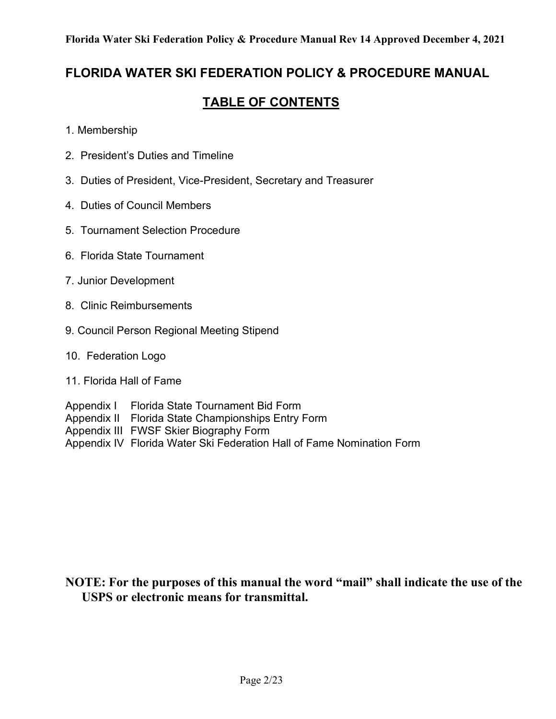## FLORIDA WATER SKI FEDERATION POLICY & PROCEDURE MANUAL

# TABLE OF CONTENTS

- 1. Membership
- 2. President's Duties and Timeline
- 3. Duties of President, Vice-President, Secretary and Treasurer
- 4. Duties of Council Members
- 5. Tournament Selection Procedure
- 6. Florida State Tournament
- 7. Junior Development
- 8. Clinic Reimbursements
- 9. Council Person Regional Meeting Stipend
- 10. Federation Logo
- 11. Florida Hall of Fame

Appendix I Florida State Tournament Bid Form Appendix II Florida State Championships Entry Form Appendix III FWSF Skier Biography Form Appendix IV Florida Water Ski Federation Hall of Fame Nomination Form

## NOTE: For the purposes of this manual the word "mail" shall indicate the use of the USPS or electronic means for transmittal.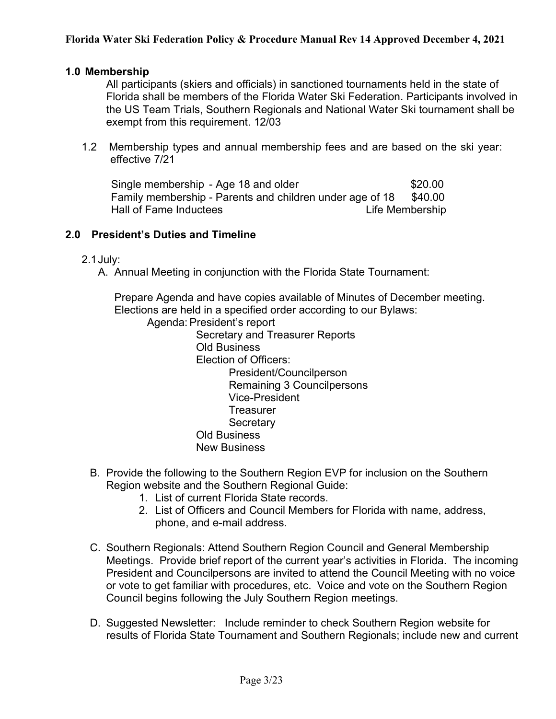#### 1.0 Membership

 All participants (skiers and officials) in sanctioned tournaments held in the state of Florida shall be members of the Florida Water Ski Federation. Participants involved in the US Team Trials, Southern Regionals and National Water Ski tournament shall be exempt from this requirement. 12/03

1.2 Membership types and annual membership fees and are based on the ski year: effective 7/21

Single membership - Age 18 and older \$20.00 Family membership - Parents and children under age of 18 \$40.00 Hall of Fame Inductees Life Membership

#### 2.0 President's Duties and Timeline

- 2.1 July:
	- A. Annual Meeting in conjunction with the Florida State Tournament:

Prepare Agenda and have copies available of Minutes of December meeting. Elections are held in a specified order according to our Bylaws:

- Agenda: President's report
	- Secretary and Treasurer Reports Old Business Election of Officers: President/Councilperson Remaining 3 Councilpersons Vice-President **Treasurer Secretary** Old Business New Business
- B. Provide the following to the Southern Region EVP for inclusion on the Southern Region website and the Southern Regional Guide:
	- 1. List of current Florida State records.
	- 2. List of Officers and Council Members for Florida with name, address, phone, and e-mail address.
- C. Southern Regionals: Attend Southern Region Council and General Membership Meetings. Provide brief report of the current year's activities in Florida. The incoming President and Councilpersons are invited to attend the Council Meeting with no voice or vote to get familiar with procedures, etc. Voice and vote on the Southern Region Council begins following the July Southern Region meetings.
- D. Suggested Newsletter: Include reminder to check Southern Region website for results of Florida State Tournament and Southern Regionals; include new and current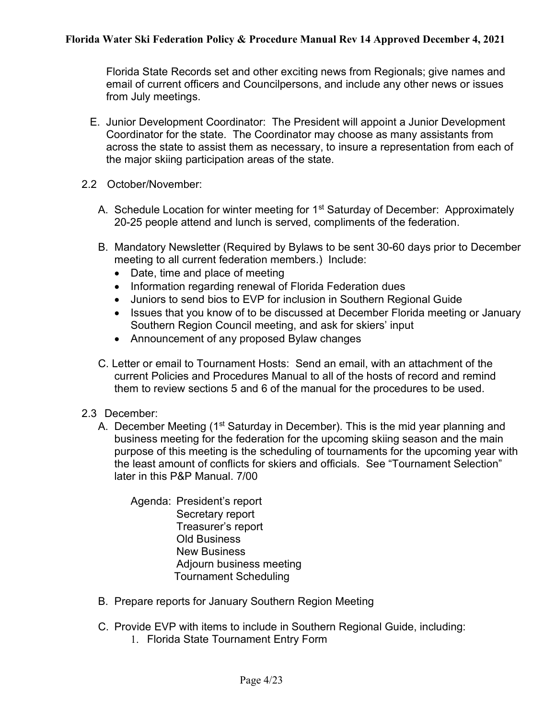Florida State Records set and other exciting news from Regionals; give names and email of current officers and Councilpersons, and include any other news or issues from July meetings.

- E. Junior Development Coordinator: The President will appoint a Junior Development Coordinator for the state. The Coordinator may choose as many assistants from across the state to assist them as necessary, to insure a representation from each of the major skiing participation areas of the state.
- 2.2 October/November:
	- A. Schedule Location for winter meeting for 1<sup>st</sup> Saturday of December: Approximately 20-25 people attend and lunch is served, compliments of the federation.
	- B. Mandatory Newsletter (Required by Bylaws to be sent 30-60 days prior to December meeting to all current federation members.) Include:
		- Date, time and place of meeting
		- Information regarding renewal of Florida Federation dues
		- Juniors to send bios to EVP for inclusion in Southern Regional Guide
		- Issues that you know of to be discussed at December Florida meeting or January Southern Region Council meeting, and ask for skiers' input
		- Announcement of any proposed Bylaw changes
	- C. Letter or email to Tournament Hosts: Send an email, with an attachment of the current Policies and Procedures Manual to all of the hosts of record and remind them to review sections 5 and 6 of the manual for the procedures to be used.
- 2.3 December:
	- A. December Meeting (1<sup>st</sup> Saturday in December). This is the mid year planning and business meeting for the federation for the upcoming skiing season and the main purpose of this meeting is the scheduling of tournaments for the upcoming year with the least amount of conflicts for skiers and officials. See "Tournament Selection" later in this P&P Manual. 7/00

Agenda: President's report Secretary report Treasurer's report Old Business New Business Adjourn business meeting Tournament Scheduling

- B. Prepare reports for January Southern Region Meeting
- C. Provide EVP with items to include in Southern Regional Guide, including:
	- 1. Florida State Tournament Entry Form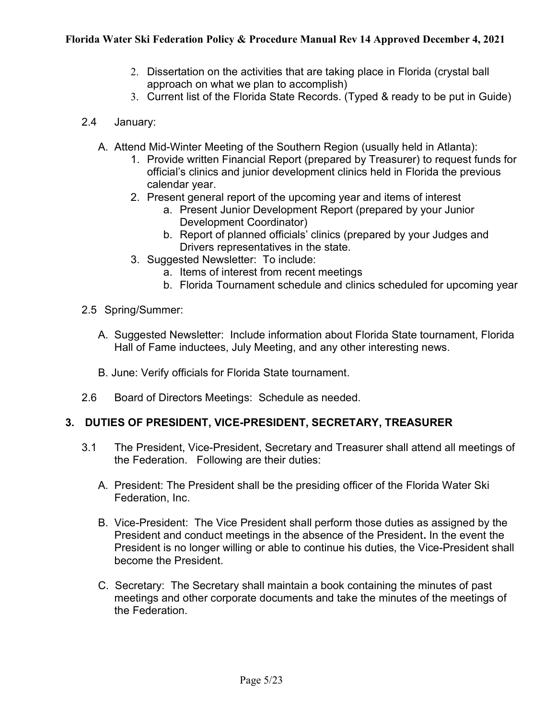- 2. Dissertation on the activities that are taking place in Florida (crystal ball approach on what we plan to accomplish)
- 3. Current list of the Florida State Records. (Typed & ready to be put in Guide)
- 2.4 January:
	- A. Attend Mid-Winter Meeting of the Southern Region (usually held in Atlanta):
		- 1. Provide written Financial Report (prepared by Treasurer) to request funds for official's clinics and junior development clinics held in Florida the previous calendar year.
		- 2. Present general report of the upcoming year and items of interest
			- a. Present Junior Development Report (prepared by your Junior Development Coordinator)
			- b. Report of planned officials' clinics (prepared by your Judges and Drivers representatives in the state.
		- 3. Suggested Newsletter: To include:
			- a. Items of interest from recent meetings
			- b. Florida Tournament schedule and clinics scheduled for upcoming year
- 2.5 Spring/Summer:
	- A. Suggested Newsletter: Include information about Florida State tournament, Florida Hall of Fame inductees, July Meeting, and any other interesting news.
	- B. June: Verify officials for Florida State tournament.
- 2.6 Board of Directors Meetings: Schedule as needed.

## 3. DUTIES OF PRESIDENT, VICE-PRESIDENT, SECRETARY, TREASURER

- 3.1 The President, Vice-President, Secretary and Treasurer shall attend all meetings of the Federation. Following are their duties:
	- A. President: The President shall be the presiding officer of the Florida Water Ski Federation, Inc.
	- B. Vice-President: The Vice President shall perform those duties as assigned by the President and conduct meetings in the absence of the President. In the event the President is no longer willing or able to continue his duties, the Vice-President shall become the President.
	- C. Secretary: The Secretary shall maintain a book containing the minutes of past meetings and other corporate documents and take the minutes of the meetings of the Federation.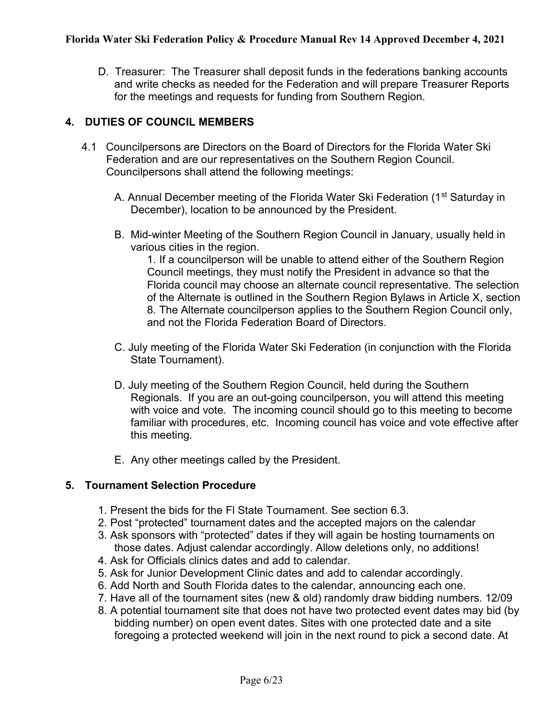D. Treasurer: The Treasurer shall deposit funds in the federations banking accounts and write checks as needed for the Federation and will prepare Treasurer Reports for the meetings and requests for funding from Southern Region.

#### 4. DUTIES OF COUNCIL MEMBERS

- 4.1 Councilpersons are Directors on the Board of Directors for the Florida Water Ski Federation and are our representatives on the Southern Region Council. Councilpersons shall attend the following meetings:
	- A. Annual December meeting of the Florida Water Ski Federation (1<sup>st</sup> Saturday in December), location to be announced by the President.
	- B. Mid-winter Meeting of the Southern Region Council in January, usually held in various cities in the region.

1. If a councilperson will be unable to attend either of the Southern Region Council meetings, they must notify the President in advance so that the Florida council may choose an alternate council representative. The selection of the Alternate is outlined in the Southern Region Bylaws in Article X, section 8. The Alternate councilperson applies to the Southern Region Council only, and not the Florida Federation Board of Directors.

- C. July meeting of the Florida Water Ski Federation (in conjunction with the Florida State Tournament).
- D. July meeting of the Southern Region Council, held during the Southern Regionals. If you are an out-going councilperson, you will attend this meeting with voice and vote. The incoming council should go to this meeting to become familiar with procedures, etc. Incoming council has voice and vote effective after this meeting.
- E. Any other meetings called by the President.

#### 5. Tournament Selection Procedure

- 1. Present the bids for the Fl State Tournament. See section 6.3.
- 2. Post "protected" tournament dates and the accepted majors on the calendar
- 3. Ask sponsors with "protected" dates if they will again be hosting tournaments on those dates. Adjust calendar accordingly. Allow deletions only, no additions!
- 4. Ask for Officials clinics dates and add to calendar.
- 5. Ask for Junior Development Clinic dates and add to calendar accordingly.
- 6. Add North and South Florida dates to the calendar, announcing each one.
- 7. Have all of the tournament sites (new & old) randomly draw bidding numbers. 12/09
- 8. A potential tournament site that does not have two protected event dates may bid (by bidding number) on open event dates. Sites with one protected date and a site foregoing a protected weekend will join in the next round to pick a second date. At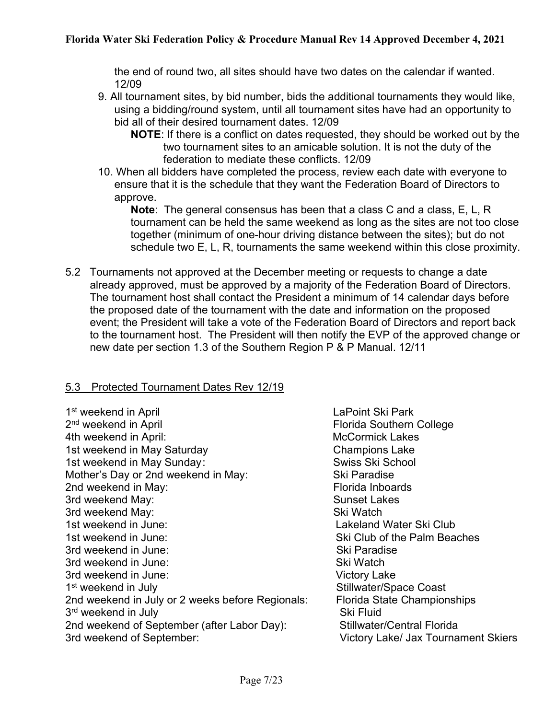the end of round two, all sites should have two dates on the calendar if wanted. 12/09

- 9. All tournament sites, by bid number, bids the additional tournaments they would like, using a bidding/round system, until all tournament sites have had an opportunity to bid all of their desired tournament dates. 12/09
	- **NOTE:** If there is a conflict on dates requested, they should be worked out by the two tournament sites to an amicable solution. It is not the duty of the federation to mediate these conflicts. 12/09
- 10. When all bidders have completed the process, review each date with everyone to ensure that it is the schedule that they want the Federation Board of Directors to approve.

Note: The general consensus has been that a class C and a class, E, L, R tournament can be held the same weekend as long as the sites are not too close together (minimum of one-hour driving distance between the sites); but do not schedule two E, L, R, tournaments the same weekend within this close proximity.

5.2 Tournaments not approved at the December meeting or requests to change a date already approved, must be approved by a majority of the Federation Board of Directors. The tournament host shall contact the President a minimum of 14 calendar days before the proposed date of the tournament with the date and information on the proposed event; the President will take a vote of the Federation Board of Directors and report back to the tournament host. The President will then notify the EVP of the approved change or new date per section 1.3 of the Southern Region P & P Manual. 12/11

#### 5.3 Protected Tournament Dates Rev 12/19

1<sup>st</sup> weekend in April **August 2018** 2019 12:30 LaPoint Ski Park 2<sup>nd</sup> weekend in April 4th weekend in April: All the McCormick Lakes McCormick Lakes 1st weekend in May Saturday **Champions Lake** 1st weekend in May Sunday: Swiss Ski School Mother's Day or 2nd weekend in May: Ski Paradise 2nd weekend in May: The Contract of the Florida Inboards 3rd weekend May: Sunset Lakes 3rd weekend May: Shaw Ski Watch 1st weekend in June: Lakeland Water Ski Club 1st weekend in June: Ski Club of the Palm Beaches 3rd weekend in June: Shakes Ski Paradise 3rd weekend in June: Ski Watch 3rd weekend in June: Victory Lake 1<sup>st</sup> weekend in July 2nd weekend in July or 2 weeks before Regionals: Florida State Championships 3<sup>rd</sup> weekend in July **Sharehouse Contract Contract Contract Contract Contract Contract Contract Contract Contract Contract Contract Contract Contract Contract Contract Contract Contract Contract Contract Contract Contract** 2nd weekend of September (after Labor Day): Stillwater/Central Florida 3rd weekend of September: Victory Lake/ Jax Tournament Skiers

Florida Southern College Stillwater/Space Coast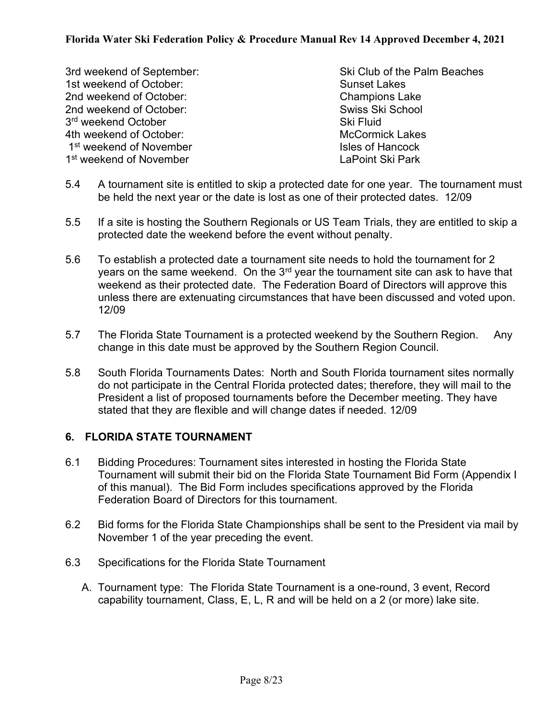1st weekend of October: Sunset Lakes 2nd weekend of October: Champions Lake 2nd weekend of October: Swiss Ski School 3<sup>rd</sup> weekend October **Sharehor** Ski Fluid 4th weekend of October: Manual Lakes McCormick Lakes 1st weekend of November **Isles of Hancock** Isles of Hancock 1<sup>st</sup> weekend of November **LaPoint Ski Park** 

- 3rd weekend of September: Ski Club of the Palm Beaches
- 5.4 A tournament site is entitled to skip a protected date for one year. The tournament must be held the next year or the date is lost as one of their protected dates. 12/09
- 5.5 If a site is hosting the Southern Regionals or US Team Trials, they are entitled to skip a protected date the weekend before the event without penalty.
- 5.6 To establish a protected date a tournament site needs to hold the tournament for 2 years on the same weekend. On the  $3<sup>rd</sup>$  year the tournament site can ask to have that weekend as their protected date. The Federation Board of Directors will approve this unless there are extenuating circumstances that have been discussed and voted upon. 12/09
- 5.7 The Florida State Tournament is a protected weekend by the Southern Region. Any change in this date must be approved by the Southern Region Council.
- 5.8 South Florida Tournaments Dates: North and South Florida tournament sites normally do not participate in the Central Florida protected dates; therefore, they will mail to the President a list of proposed tournaments before the December meeting. They have stated that they are flexible and will change dates if needed. 12/09

## 6. FLORIDA STATE TOURNAMENT

- 6.1 Bidding Procedures: Tournament sites interested in hosting the Florida State Tournament will submit their bid on the Florida State Tournament Bid Form (Appendix I of this manual). The Bid Form includes specifications approved by the Florida Federation Board of Directors for this tournament.
- 6.2 Bid forms for the Florida State Championships shall be sent to the President via mail by November 1 of the year preceding the event.
- 6.3 Specifications for the Florida State Tournament
	- A. Tournament type: The Florida State Tournament is a one-round, 3 event, Record capability tournament, Class, E, L, R and will be held on a 2 (or more) lake site.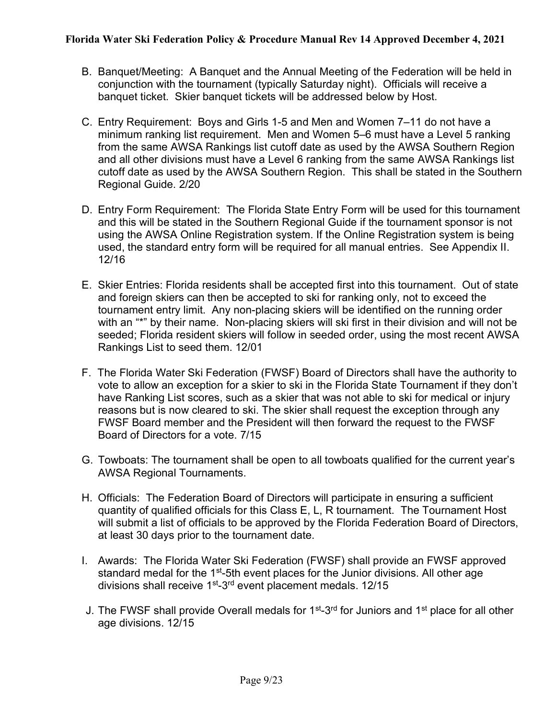- B. Banquet/Meeting: A Banquet and the Annual Meeting of the Federation will be held in conjunction with the tournament (typically Saturday night). Officials will receive a banquet ticket. Skier banquet tickets will be addressed below by Host.
- C. Entry Requirement: Boys and Girls 1-5 and Men and Women 7–11 do not have a minimum ranking list requirement. Men and Women 5–6 must have a Level 5 ranking from the same AWSA Rankings list cutoff date as used by the AWSA Southern Region and all other divisions must have a Level 6 ranking from the same AWSA Rankings list cutoff date as used by the AWSA Southern Region. This shall be stated in the Southern Regional Guide. 2/20
- D. Entry Form Requirement: The Florida State Entry Form will be used for this tournament and this will be stated in the Southern Regional Guide if the tournament sponsor is not using the AWSA Online Registration system. If the Online Registration system is being used, the standard entry form will be required for all manual entries. See Appendix II. 12/16
- E. Skier Entries: Florida residents shall be accepted first into this tournament. Out of state and foreign skiers can then be accepted to ski for ranking only, not to exceed the tournament entry limit. Any non-placing skiers will be identified on the running order with an "\*" by their name. Non-placing skiers will ski first in their division and will not be seeded; Florida resident skiers will follow in seeded order, using the most recent AWSA Rankings List to seed them. 12/01
- F. The Florida Water Ski Federation (FWSF) Board of Directors shall have the authority to vote to allow an exception for a skier to ski in the Florida State Tournament if they don't have Ranking List scores, such as a skier that was not able to ski for medical or injury reasons but is now cleared to ski. The skier shall request the exception through any FWSF Board member and the President will then forward the request to the FWSF Board of Directors for a vote. 7/15
- G. Towboats: The tournament shall be open to all towboats qualified for the current year's AWSA Regional Tournaments.
- H. Officials: The Federation Board of Directors will participate in ensuring a sufficient quantity of qualified officials for this Class E, L, R tournament. The Tournament Host will submit a list of officials to be approved by the Florida Federation Board of Directors, at least 30 days prior to the tournament date.
- I. Awards: The Florida Water Ski Federation (FWSF) shall provide an FWSF approved standard medal for the 1<sup>st</sup>-5th event places for the Junior divisions. All other age divisions shall receive 1<sup>st</sup>-3<sup>rd</sup> event placement medals. 12/15
- J. The FWSF shall provide Overall medals for 1<sup>st</sup>-3<sup>rd</sup> for Juniors and 1<sup>st</sup> place for all other age divisions. 12/15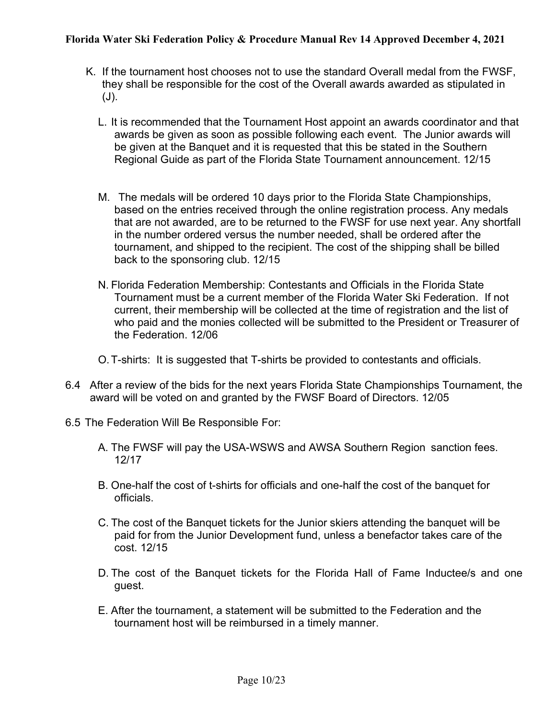- K. If the tournament host chooses not to use the standard Overall medal from the FWSF, they shall be responsible for the cost of the Overall awards awarded as stipulated in (J).
	- L. It is recommended that the Tournament Host appoint an awards coordinator and that awards be given as soon as possible following each event. The Junior awards will be given at the Banquet and it is requested that this be stated in the Southern Regional Guide as part of the Florida State Tournament announcement. 12/15
	- M. The medals will be ordered 10 days prior to the Florida State Championships, based on the entries received through the online registration process. Any medals that are not awarded, are to be returned to the FWSF for use next year. Any shortfall in the number ordered versus the number needed, shall be ordered after the tournament, and shipped to the recipient. The cost of the shipping shall be billed back to the sponsoring club. 12/15
	- N. Florida Federation Membership: Contestants and Officials in the Florida State Tournament must be a current member of the Florida Water Ski Federation. If not current, their membership will be collected at the time of registration and the list of who paid and the monies collected will be submitted to the President or Treasurer of the Federation. 12/06
	- O. T-shirts: It is suggested that T-shirts be provided to contestants and officials.
- 6.4 After a review of the bids for the next years Florida State Championships Tournament, the award will be voted on and granted by the FWSF Board of Directors. 12/05
- 6.5 The Federation Will Be Responsible For:
	- A. The FWSF will pay the USA-WSWS and AWSA Southern Region sanction fees. 12/17
	- B. One-half the cost of t-shirts for officials and one-half the cost of the banquet for officials.
	- C. The cost of the Banquet tickets for the Junior skiers attending the banquet will be paid for from the Junior Development fund, unless a benefactor takes care of the cost. 12/15
	- D. The cost of the Banquet tickets for the Florida Hall of Fame Inductee/s and one guest.
	- E. After the tournament, a statement will be submitted to the Federation and the tournament host will be reimbursed in a timely manner.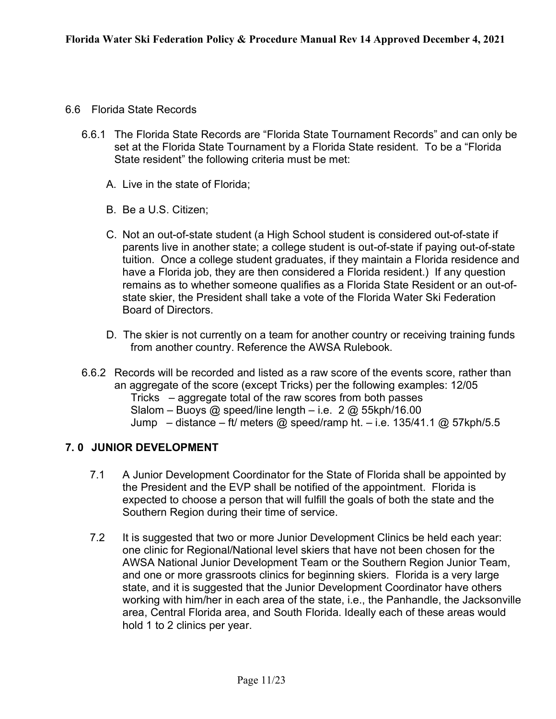- 6.6 Florida State Records
	- 6.6.1 The Florida State Records are "Florida State Tournament Records" and can only be set at the Florida State Tournament by a Florida State resident. To be a "Florida State resident" the following criteria must be met:
		- A. Live in the state of Florida;
		- B. Be a U.S. Citizen;
		- C. Not an out-of-state student (a High School student is considered out-of-state if parents live in another state; a college student is out-of-state if paying out-of-state tuition. Once a college student graduates, if they maintain a Florida residence and have a Florida job, they are then considered a Florida resident.) If any question remains as to whether someone qualifies as a Florida State Resident or an out-ofstate skier, the President shall take a vote of the Florida Water Ski Federation Board of Directors.
		- D. The skier is not currently on a team for another country or receiving training funds from another country. Reference the AWSA Rulebook.
	- 6.6.2 Records will be recorded and listed as a raw score of the events score, rather than an aggregate of the score (except Tricks) per the following examples: 12/05 Tricks – aggregate total of the raw scores from both passes Slalom – Buoys @ speed/line length – i.e.  $2 \text{ } @$  55kph/16.00 Jump – distance – ft/ meters @ speed/ramp ht. – i.e. 135/41.1 @ 57kph/5.5

## 7. 0 JUNIOR DEVELOPMENT

- 7.1 A Junior Development Coordinator for the State of Florida shall be appointed by the President and the EVP shall be notified of the appointment. Florida is expected to choose a person that will fulfill the goals of both the state and the Southern Region during their time of service.
- 7.2 It is suggested that two or more Junior Development Clinics be held each year: one clinic for Regional/National level skiers that have not been chosen for the AWSA National Junior Development Team or the Southern Region Junior Team, and one or more grassroots clinics for beginning skiers. Florida is a very large state, and it is suggested that the Junior Development Coordinator have others working with him/her in each area of the state, i.e., the Panhandle, the Jacksonville area, Central Florida area, and South Florida. Ideally each of these areas would hold 1 to 2 clinics per year.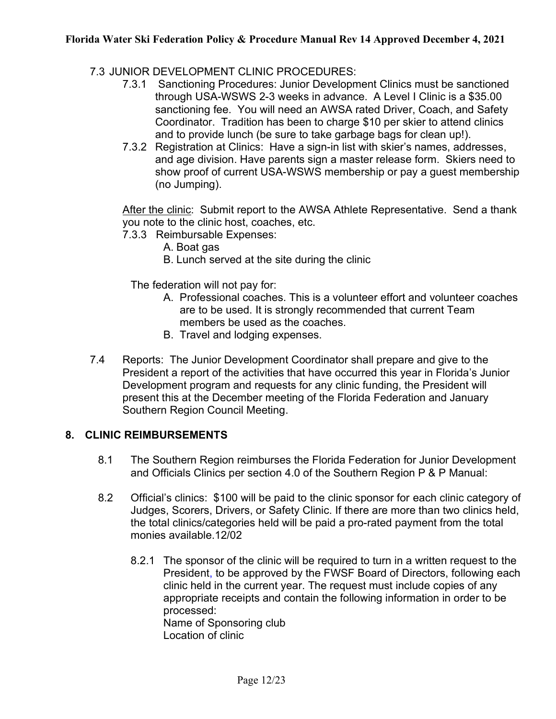- 7.3 JUNIOR DEVELOPMENT CLINIC PROCEDURES:
	- 7.3.1 Sanctioning Procedures: Junior Development Clinics must be sanctioned through USA-WSWS 2-3 weeks in advance. A Level I Clinic is a \$35.00 sanctioning fee. You will need an AWSA rated Driver, Coach, and Safety Coordinator. Tradition has been to charge \$10 per skier to attend clinics and to provide lunch (be sure to take garbage bags for clean up!).
	- 7.3.2 Registration at Clinics: Have a sign-in list with skier's names, addresses, and age division. Have parents sign a master release form. Skiers need to show proof of current USA-WSWS membership or pay a guest membership (no Jumping).

After the clinic: Submit report to the AWSA Athlete Representative. Send a thank you note to the clinic host, coaches, etc.

- 7.3.3 Reimbursable Expenses:
	- A. Boat gas
	- B. Lunch served at the site during the clinic

The federation will not pay for:

- A. Professional coaches. This is a volunteer effort and volunteer coaches are to be used. It is strongly recommended that current Team members be used as the coaches.
- B. Travel and lodging expenses.
- 7.4 Reports: The Junior Development Coordinator shall prepare and give to the President a report of the activities that have occurred this year in Florida's Junior Development program and requests for any clinic funding, the President will present this at the December meeting of the Florida Federation and January Southern Region Council Meeting.

#### 8. CLINIC REIMBURSEMENTS

- 8.1 The Southern Region reimburses the Florida Federation for Junior Development and Officials Clinics per section 4.0 of the Southern Region P & P Manual:
- 8.2 Official's clinics: \$100 will be paid to the clinic sponsor for each clinic category of Judges, Scorers, Drivers, or Safety Clinic. If there are more than two clinics held, the total clinics/categories held will be paid a pro-rated payment from the total monies available.12/02
	- 8.2.1 The sponsor of the clinic will be required to turn in a written request to the President, to be approved by the FWSF Board of Directors, following each clinic held in the current year. The request must include copies of any appropriate receipts and contain the following information in order to be processed: Name of Sponsoring club Location of clinic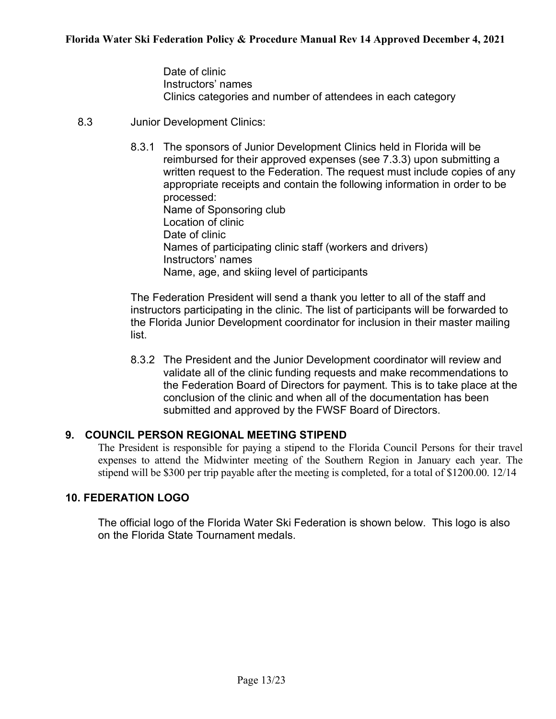Date of clinic Instructors' names Clinics categories and number of attendees in each category

- 8.3 Junior Development Clinics:
	- 8.3.1 The sponsors of Junior Development Clinics held in Florida will be reimbursed for their approved expenses (see 7.3.3) upon submitting a written request to the Federation. The request must include copies of any appropriate receipts and contain the following information in order to be processed: Name of Sponsoring club Location of clinic Date of clinic Names of participating clinic staff (workers and drivers) Instructors' names Name, age, and skiing level of participants

The Federation President will send a thank you letter to all of the staff and instructors participating in the clinic. The list of participants will be forwarded to the Florida Junior Development coordinator for inclusion in their master mailing list.

8.3.2 The President and the Junior Development coordinator will review and validate all of the clinic funding requests and make recommendations to the Federation Board of Directors for payment. This is to take place at the conclusion of the clinic and when all of the documentation has been submitted and approved by the FWSF Board of Directors.

#### 9. COUNCIL PERSON REGIONAL MEETING STIPEND

The President is responsible for paying a stipend to the Florida Council Persons for their travel expenses to attend the Midwinter meeting of the Southern Region in January each year. The stipend will be \$300 per trip payable after the meeting is completed, for a total of \$1200.00. 12/14

#### 10. FEDERATION LOGO

The official logo of the Florida Water Ski Federation is shown below. This logo is also on the Florida State Tournament medals.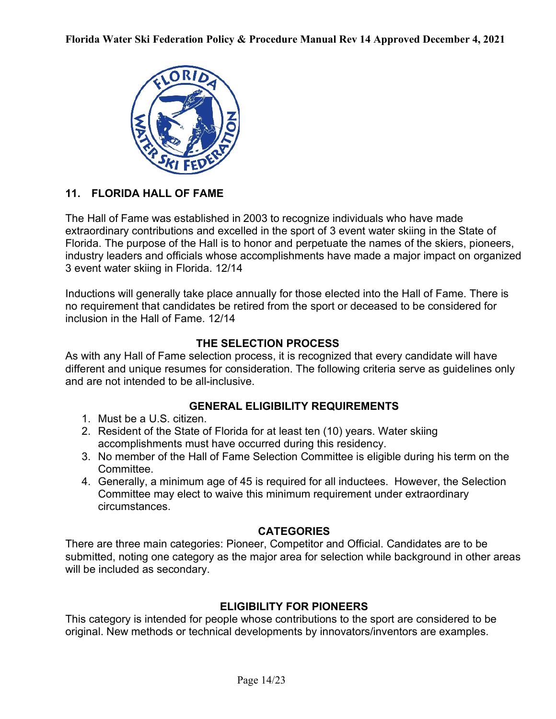

## 11. FLORIDA HALL OF FAME

The Hall of Fame was established in 2003 to recognize individuals who have made extraordinary contributions and excelled in the sport of 3 event water skiing in the State of Florida. The purpose of the Hall is to honor and perpetuate the names of the skiers, pioneers, industry leaders and officials whose accomplishments have made a major impact on organized 3 event water skiing in Florida. 12/14

Inductions will generally take place annually for those elected into the Hall of Fame. There is no requirement that candidates be retired from the sport or deceased to be considered for inclusion in the Hall of Fame. 12/14

## THE SELECTION PROCESS

As with any Hall of Fame selection process, it is recognized that every candidate will have different and unique resumes for consideration. The following criteria serve as guidelines only and are not intended to be all-inclusive.

## GENERAL ELIGIBILITY REQUIREMENTS

- 1. Must be a U.S. citizen.
- 2. Resident of the State of Florida for at least ten (10) years. Water skiing accomplishments must have occurred during this residency.
- 3. No member of the Hall of Fame Selection Committee is eligible during his term on the Committee.
- 4. Generally, a minimum age of 45 is required for all inductees. However, the Selection Committee may elect to waive this minimum requirement under extraordinary circumstances.

## **CATEGORIES**

There are three main categories: Pioneer, Competitor and Official. Candidates are to be submitted, noting one category as the major area for selection while background in other areas will be included as secondary.

## ELIGIBILITY FOR PIONEERS

This category is intended for people whose contributions to the sport are considered to be original. New methods or technical developments by innovators/inventors are examples.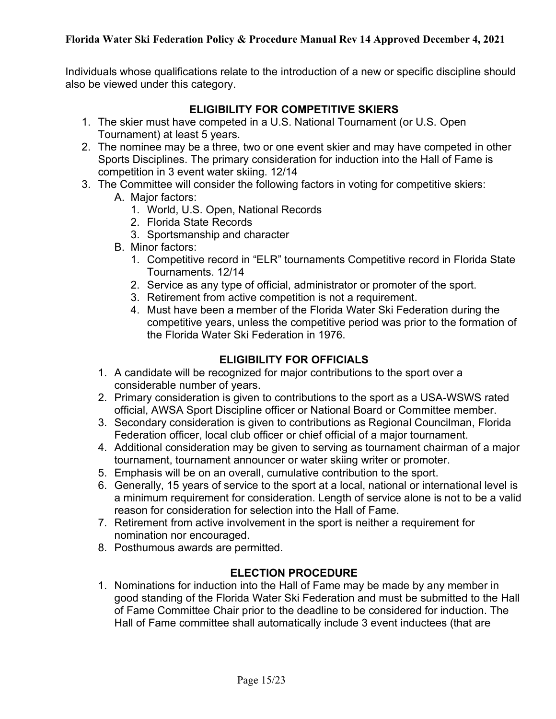Individuals whose qualifications relate to the introduction of a new or specific discipline should also be viewed under this category.

#### ELIGIBILITY FOR COMPETITIVE SKIERS

- 1. The skier must have competed in a U.S. National Tournament (or U.S. Open Tournament) at least 5 years.
- 2. The nominee may be a three, two or one event skier and may have competed in other Sports Disciplines. The primary consideration for induction into the Hall of Fame is competition in 3 event water skiing. 12/14
- 3. The Committee will consider the following factors in voting for competitive skiers:
	- A. Major factors:
		- 1. World, U.S. Open, National Records
		- 2. Florida State Records
		- 3. Sportsmanship and character
	- B. Minor factors:
		- 1. Competitive record in "ELR" tournaments Competitive record in Florida State Tournaments. 12/14
		- 2. Service as any type of official, administrator or promoter of the sport.
		- 3. Retirement from active competition is not a requirement.
		- 4. Must have been a member of the Florida Water Ski Federation during the competitive years, unless the competitive period was prior to the formation of the Florida Water Ski Federation in 1976.

## ELIGIBILITY FOR OFFICIALS

- 1. A candidate will be recognized for major contributions to the sport over a considerable number of years.
- 2. Primary consideration is given to contributions to the sport as a USA-WSWS rated official, AWSA Sport Discipline officer or National Board or Committee member.
- 3. Secondary consideration is given to contributions as Regional Councilman, Florida Federation officer, local club officer or chief official of a major tournament.
- 4. Additional consideration may be given to serving as tournament chairman of a major tournament, tournament announcer or water skiing writer or promoter.
- 5. Emphasis will be on an overall, cumulative contribution to the sport.
- 6. Generally, 15 years of service to the sport at a local, national or international level is a minimum requirement for consideration. Length of service alone is not to be a valid reason for consideration for selection into the Hall of Fame.
- 7. Retirement from active involvement in the sport is neither a requirement for nomination nor encouraged.
- 8. Posthumous awards are permitted.

## ELECTION PROCEDURE

1. Nominations for induction into the Hall of Fame may be made by any member in good standing of the Florida Water Ski Federation and must be submitted to the Hall of Fame Committee Chair prior to the deadline to be considered for induction. The Hall of Fame committee shall automatically include 3 event inductees (that are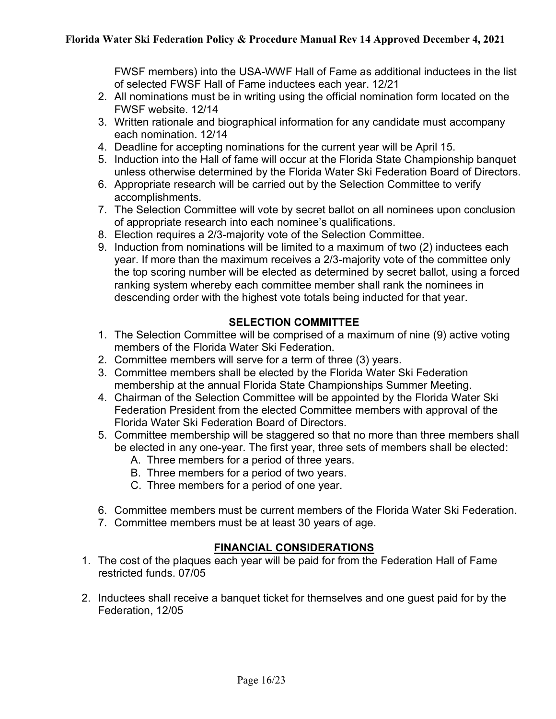FWSF members) into the USA-WWF Hall of Fame as additional inductees in the list of selected FWSF Hall of Fame inductees each year. 12/21

- 2. All nominations must be in writing using the official nomination form located on the FWSF website. 12/14
- 3. Written rationale and biographical information for any candidate must accompany each nomination. 12/14
- 4. Deadline for accepting nominations for the current year will be April 15.
- 5. Induction into the Hall of fame will occur at the Florida State Championship banquet unless otherwise determined by the Florida Water Ski Federation Board of Directors.
- 6. Appropriate research will be carried out by the Selection Committee to verify accomplishments.
- 7. The Selection Committee will vote by secret ballot on all nominees upon conclusion of appropriate research into each nominee's qualifications.
- 8. Election requires a 2/3-majority vote of the Selection Committee.
- 9. Induction from nominations will be limited to a maximum of two (2) inductees each year. If more than the maximum receives a 2/3-majority vote of the committee only the top scoring number will be elected as determined by secret ballot, using a forced ranking system whereby each committee member shall rank the nominees in descending order with the highest vote totals being inducted for that year.

## SELECTION COMMITTEE

- 1. The Selection Committee will be comprised of a maximum of nine (9) active voting members of the Florida Water Ski Federation.
- 2. Committee members will serve for a term of three (3) years.
- 3. Committee members shall be elected by the Florida Water Ski Federation membership at the annual Florida State Championships Summer Meeting.
- 4. Chairman of the Selection Committee will be appointed by the Florida Water Ski Federation President from the elected Committee members with approval of the Florida Water Ski Federation Board of Directors.
- 5. Committee membership will be staggered so that no more than three members shall be elected in any one-year. The first year, three sets of members shall be elected:
	- A. Three members for a period of three years.
	- B. Three members for a period of two years.
	- C. Three members for a period of one year.
- 6. Committee members must be current members of the Florida Water Ski Federation.
- 7. Committee members must be at least 30 years of age.

## FINANCIAL CONSIDERATIONS

- 1. The cost of the plaques each year will be paid for from the Federation Hall of Fame restricted funds. 07/05
- 2. Inductees shall receive a banquet ticket for themselves and one guest paid for by the Federation, 12/05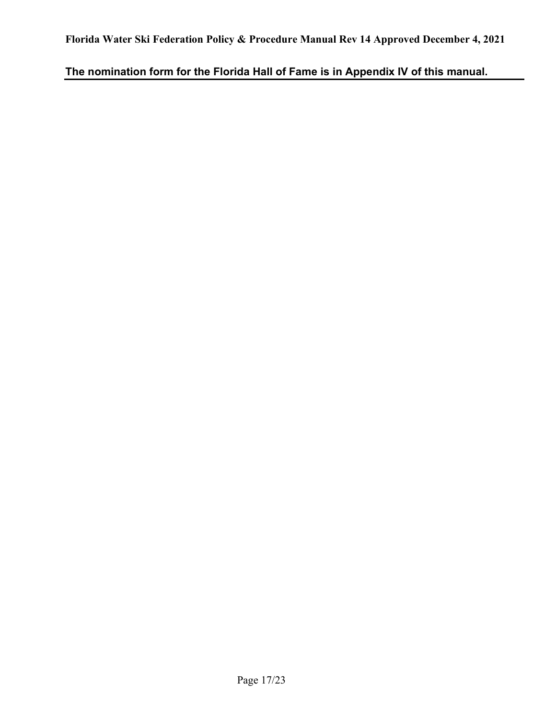The nomination form for the Florida Hall of Fame is in Appendix IV of this manual.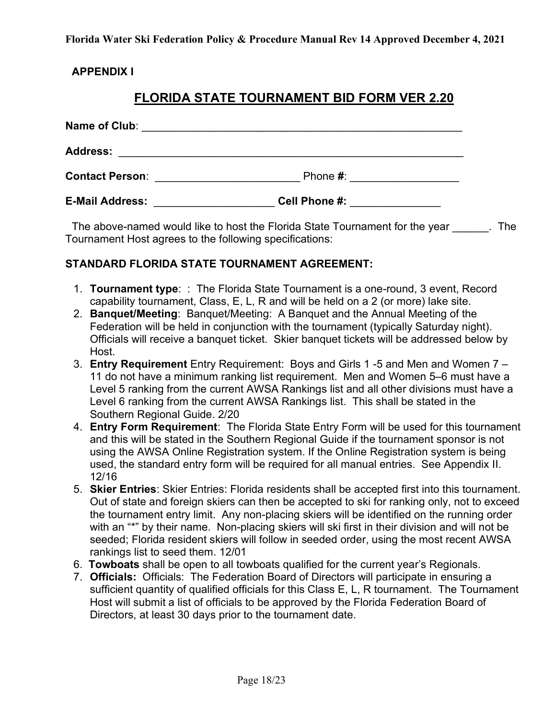#### APPENDIX I

## FLORIDA STATE TOURNAMENT BID FORM VER 2.20

| Name of Club:          | <u> 1980 - Jan James James James James James James James James James James James James James James James James J</u> |  |
|------------------------|----------------------------------------------------------------------------------------------------------------------|--|
| <b>Address:</b>        | <u> 1989 - John Stein, Amerikaansk politiker († 1989)</u>                                                            |  |
| <b>Contact Person:</b> | Phone $#$ :                                                                                                          |  |
| <b>E-Mail Address:</b> | Cell Phone #:                                                                                                        |  |

The above-named would like to host the Florida State Tournament for the year The Tournament Host agrees to the following specifications:

#### STANDARD FLORIDA STATE TOURNAMENT AGREEMENT:

- 1. Tournament type: : The Florida State Tournament is a one-round, 3 event, Record capability tournament, Class, E, L, R and will be held on a 2 (or more) lake site.
- 2. Banquet/Meeting: Banquet/Meeting: A Banquet and the Annual Meeting of the Federation will be held in conjunction with the tournament (typically Saturday night). Officials will receive a banquet ticket. Skier banquet tickets will be addressed below by Host.
- 3. Entry Requirement Entry Requirement: Boys and Girls 1 -5 and Men and Women 7 11 do not have a minimum ranking list requirement. Men and Women 5–6 must have a Level 5 ranking from the current AWSA Rankings list and all other divisions must have a Level 6 ranking from the current AWSA Rankings list. This shall be stated in the Southern Regional Guide. 2/20
- 4. Entry Form Requirement: The Florida State Entry Form will be used for this tournament and this will be stated in the Southern Regional Guide if the tournament sponsor is not using the AWSA Online Registration system. If the Online Registration system is being used, the standard entry form will be required for all manual entries. See Appendix II. 12/16
- 5. Skier Entries: Skier Entries: Florida residents shall be accepted first into this tournament. Out of state and foreign skiers can then be accepted to ski for ranking only, not to exceed the tournament entry limit. Any non-placing skiers will be identified on the running order with an "\*" by their name. Non-placing skiers will ski first in their division and will not be seeded; Florida resident skiers will follow in seeded order, using the most recent AWSA rankings list to seed them. 12/01
- 6. Towboats shall be open to all towboats qualified for the current year's Regionals.
- 7. Officials: Officials: The Federation Board of Directors will participate in ensuring a sufficient quantity of qualified officials for this Class E, L, R tournament. The Tournament Host will submit a list of officials to be approved by the Florida Federation Board of Directors, at least 30 days prior to the tournament date.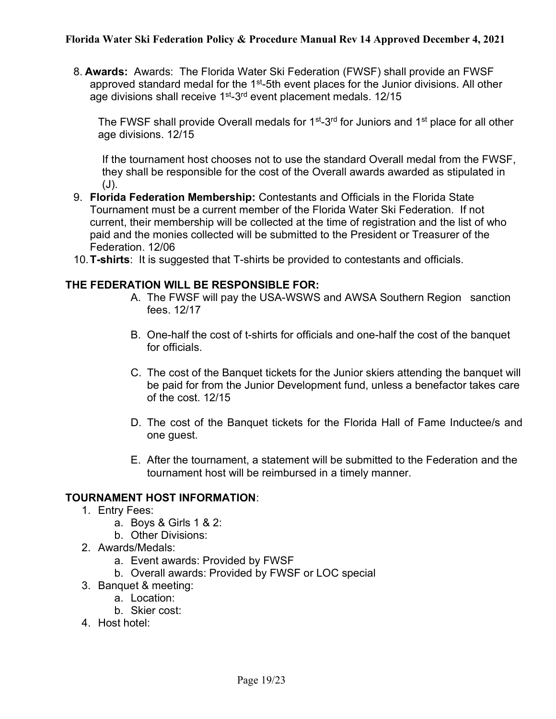8. Awards: Awards: The Florida Water Ski Federation (FWSF) shall provide an FWSF approved standard medal for the  $1<sup>st</sup>$ -5th event places for the Junior divisions. All other age divisions shall receive  $1<sup>st</sup> - 3<sup>rd</sup>$  event placement medals. 12/15

The FWSF shall provide Overall medals for 1<sup>st</sup>-3<sup>rd</sup> for Juniors and 1<sup>st</sup> place for all other age divisions. 12/15

If the tournament host chooses not to use the standard Overall medal from the FWSF, they shall be responsible for the cost of the Overall awards awarded as stipulated in (J).

- 9. Florida Federation Membership: Contestants and Officials in the Florida State Tournament must be a current member of the Florida Water Ski Federation. If not current, their membership will be collected at the time of registration and the list of who paid and the monies collected will be submitted to the President or Treasurer of the Federation. 12/06
- 10. T-shirts: It is suggested that T-shirts be provided to contestants and officials.

#### THE FEDERATION WILL BE RESPONSIBLE FOR:

- A. The FWSF will pay the USA-WSWS and AWSA Southern Region sanction fees. 12/17
- B. One-half the cost of t-shirts for officials and one-half the cost of the banquet for officials.
- C. The cost of the Banquet tickets for the Junior skiers attending the banquet will be paid for from the Junior Development fund, unless a benefactor takes care of the cost. 12/15
- D. The cost of the Banquet tickets for the Florida Hall of Fame Inductee/s and one guest.
- E. After the tournament, a statement will be submitted to the Federation and the tournament host will be reimbursed in a timely manner.

#### TOURNAMENT HOST INFORMATION:

- 1. Entry Fees:
	- a. Boys & Girls 1 & 2:
	- b. Other Divisions:
- 2. Awards/Medals:
	- a. Event awards: Provided by FWSF
	- b. Overall awards: Provided by FWSF or LOC special
- 3. Banquet & meeting:
	- a. Location:
	- b. Skier cost:
- 4. Host hotel: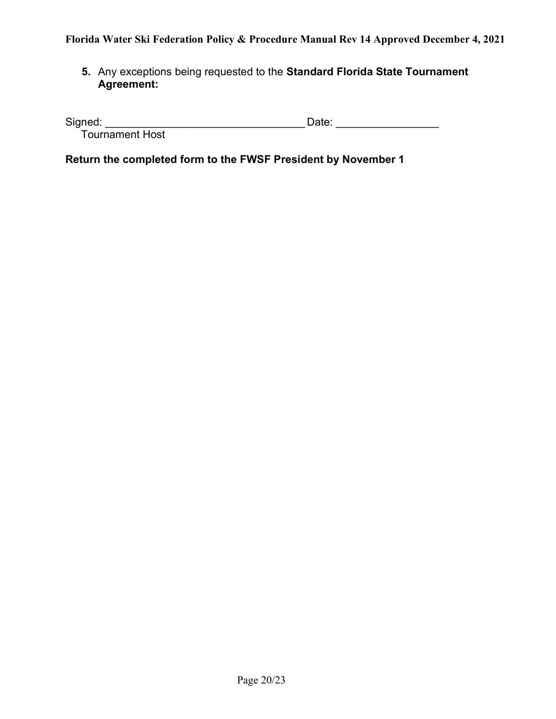5. Any exceptions being requested to the Standard Florida State Tournament Agreement:

| Signed:                |  |
|------------------------|--|
| <b>Tournament Host</b> |  |

Return the completed form to the FWSF President by November 1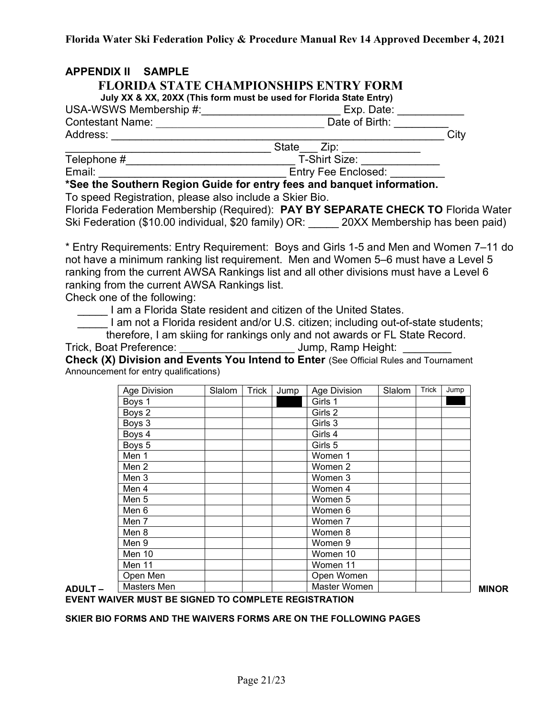| <b>APPENDIX II SAMPLE</b>                                                                                                                                                                                                      |                            |      |
|--------------------------------------------------------------------------------------------------------------------------------------------------------------------------------------------------------------------------------|----------------------------|------|
| <b>FLORIDA STATE CHAMPIONSHIPS ENTRY FORM</b>                                                                                                                                                                                  |                            |      |
| July XX & XX, 20XX (This form must be used for Florida State Entry)                                                                                                                                                            |                            |      |
| USA-WSWS Membership #: Next State Contract Contract Contract Contract Contract Contract Contract Contract Contract Contract Contract Contract Contract Contract Contract Contract Contract Contract Contract Contract Contract | Exp. Date:                 |      |
| <b>Contestant Name:</b>                                                                                                                                                                                                        | Date of Birth:             |      |
| Address:                                                                                                                                                                                                                       |                            | City |
|                                                                                                                                                                                                                                | State<br>Zip:              |      |
| Telephone #                                                                                                                                                                                                                    | T-Shirt Size:              |      |
| Email:                                                                                                                                                                                                                         | <b>Entry Fee Enclosed:</b> |      |

\*See the Southern Region Guide for entry fees and banquet information. To speed Registration, please also include a Skier Bio.

Florida Federation Membership (Required): PAY BY SEPARATE CHECK TO Florida Water Ski Federation (\$10.00 individual, \$20 family) OR: \_\_\_\_\_ 20XX Membership has been paid)

\* Entry Requirements: Entry Requirement: Boys and Girls 1-5 and Men and Women 7–11 do not have a minimum ranking list requirement. Men and Women 5–6 must have a Level 5 ranking from the current AWSA Rankings list and all other divisions must have a Level 6 ranking from the current AWSA Rankings list.

Check one of the following:

**THE TE AT AT A FILM** I am a Florida State resident and citizen of the United States.

I am not a Florida resident and/or U.S. citizen; including out-of-state students;

therefore, I am skiing for rankings only and not awards or FL State Record.

Trick, Boat Preference: \_\_\_\_\_\_\_\_\_\_\_\_\_\_\_\_\_\_\_ Jump, Ramp Height: \_\_\_\_\_\_\_\_

Check (X) Division and Events You Intend to Enter (See Official Rules and Tournament Announcement for entry qualifications)

|         | Age Division     | Slalom  | Trick | Jump | Age Division | Slalom | Trick | Jump |
|---------|------------------|---------|-------|------|--------------|--------|-------|------|
|         | Boys 1           |         |       |      | Girls 1      |        |       |      |
|         | Boys 2           |         |       |      | Girls 2      |        |       |      |
|         | Boys 3           |         |       |      | Girls 3      |        |       |      |
|         | Boys 4           |         |       |      | Girls 4      |        |       |      |
|         | Boys 5           |         |       |      | Girls 5      |        |       |      |
|         | Men 1            |         |       |      | Women 1      |        |       |      |
|         | Men 2            |         |       |      | Women 2      |        |       |      |
|         | Men 3            |         |       |      | Women 3      |        |       |      |
|         | Men 4            |         |       |      | Women 4      |        |       |      |
|         | Men <sub>5</sub> |         |       |      | Women 5      |        |       |      |
|         | Men 6            | Women 6 |       |      |              |        |       |      |
|         | Men 7            |         |       |      | Women 7      |        |       |      |
|         | Men 8            | Women 8 |       |      |              |        |       |      |
|         | Men 9            |         |       |      | Women 9      |        |       |      |
|         | Men 10           |         |       |      | Women 10     |        |       |      |
|         | Men 11           |         |       |      | Women 11     |        |       |      |
|         | Open Men         |         |       |      | Open Women   |        |       |      |
| ADULT – | Masters Men      |         |       |      | Master Women |        |       |      |

EVENT WAIVER MUST BE SIGNED TO COMPLETE REGISTRATION

#### SKIER BIO FORMS AND THE WAIVERS FORMS ARE ON THE FOLLOWING PAGES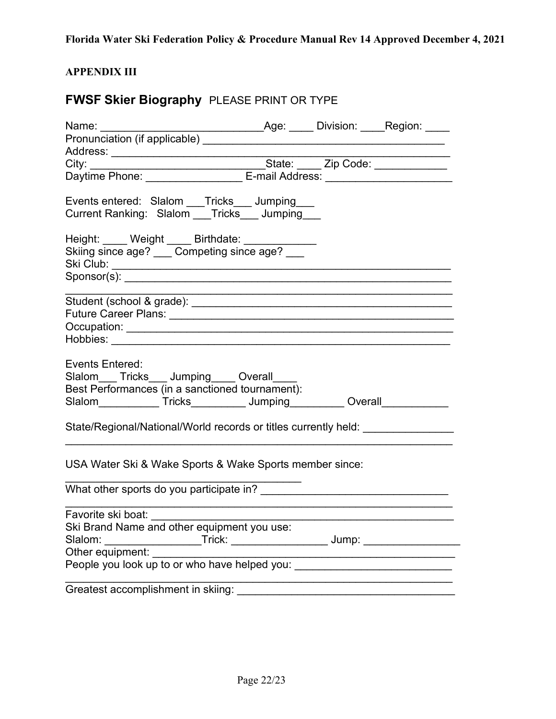## APPENDIX III

# FWSF Skier Biography PLEASE PRINT OR TYPE

| Name: ________                                                                                                                                                                         |  |  |
|----------------------------------------------------------------------------------------------------------------------------------------------------------------------------------------|--|--|
|                                                                                                                                                                                        |  |  |
|                                                                                                                                                                                        |  |  |
|                                                                                                                                                                                        |  |  |
|                                                                                                                                                                                        |  |  |
|                                                                                                                                                                                        |  |  |
| Events entered: Slalom Tricks Jumping                                                                                                                                                  |  |  |
| Current Ranking: Slalom ___Tricks___ Jumping___                                                                                                                                        |  |  |
| Height: ____ Weight ____ Birthdate: ____________<br>Skiing since age? ___ Competing since age? ___                                                                                     |  |  |
|                                                                                                                                                                                        |  |  |
|                                                                                                                                                                                        |  |  |
|                                                                                                                                                                                        |  |  |
|                                                                                                                                                                                        |  |  |
|                                                                                                                                                                                        |  |  |
| Events Entered:<br>Slalom Tricks Jumping Overall<br>Best Performances (in a sanctioned tournament):<br>Slalom______________Tricks______________Jumping____________Overall_____________ |  |  |
| State/Regional/National/World records or titles currently held: ________________                                                                                                       |  |  |
| USA Water Ski & Wake Sports & Wake Sports member since:                                                                                                                                |  |  |
|                                                                                                                                                                                        |  |  |
|                                                                                                                                                                                        |  |  |
|                                                                                                                                                                                        |  |  |
| Slalom:<br>___________________Trick: ______________________ Jump: ______________________                                                                                               |  |  |
| Other equipment:                                                                                                                                                                       |  |  |
| People you look up to or who have helped you: __________________________________                                                                                                       |  |  |
|                                                                                                                                                                                        |  |  |
|                                                                                                                                                                                        |  |  |